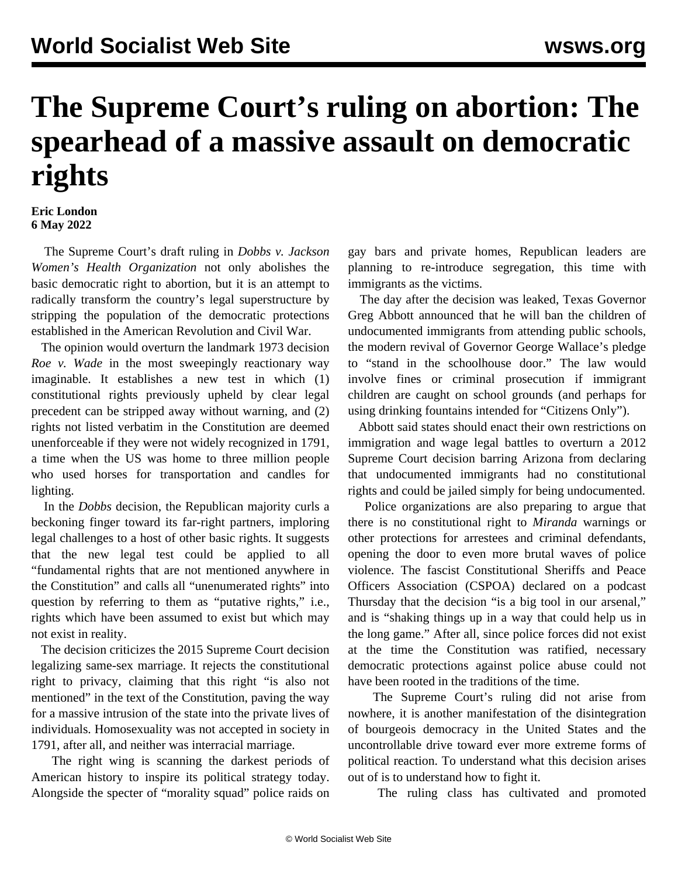## **The Supreme Court's ruling on abortion: The spearhead of a massive assault on democratic rights**

## **Eric London 6 May 2022**

 The Supreme Court's draft ruling in *Dobbs v. Jackson Women's Health Organization* not only abolishes the basic democratic right to abortion, but it is an attempt to radically transform the country's legal superstructure by stripping the population of the democratic protections established in the American Revolution and Civil War.

 The opinion would overturn the landmark 1973 decision *Roe v. Wade* in the most sweepingly reactionary way imaginable. It establishes a new test in which (1) constitutional rights previously upheld by clear legal precedent can be stripped away without warning, and (2) rights not listed verbatim in the Constitution are deemed unenforceable if they were not widely recognized in 1791, a time when the US was home to three million people who used horses for transportation and candles for lighting.

 In the *Dobbs* decision, the Republican majority curls a beckoning finger toward its far-right partners, imploring legal challenges to a host of other basic rights. It suggests that the new legal test could be applied to all "fundamental rights that are not mentioned anywhere in the Constitution" and calls all "unenumerated rights" into question by referring to them as "putative rights," i.e., rights which have been assumed to exist but which may not exist in reality.

 The decision criticizes the 2015 Supreme Court decision legalizing same-sex marriage. It rejects the constitutional right to privacy, claiming that this right "is also not mentioned" in the text of the Constitution, paving the way for a massive intrusion of the state into the private lives of individuals. Homosexuality was not accepted in society in 1791, after all, and neither was interracial marriage.

 The right wing is scanning the darkest periods of American history to inspire its political strategy today. Alongside the specter of "morality squad" police raids on

gay bars and private homes, Republican leaders are planning to re-introduce segregation, this time with immigrants as the victims.

 The day after the decision was leaked, Texas Governor Greg Abbott announced that he will ban the children of undocumented immigrants from attending public schools, the modern revival of Governor George Wallace's pledge to "stand in the schoolhouse door." The law would involve fines or criminal prosecution if immigrant children are caught on school grounds (and perhaps for using drinking fountains intended for "Citizens Only").

 Abbott said states should enact their own restrictions on immigration and wage legal battles to overturn a 2012 Supreme Court decision barring Arizona from declaring that undocumented immigrants had no constitutional rights and could be jailed simply for being undocumented.

 Police organizations are also preparing to argue that there is no constitutional right to *Miranda* warnings or other protections for arrestees and criminal defendants, opening the door to even more brutal waves of police violence. The fascist Constitutional Sheriffs and Peace Officers Association (CSPOA) declared on a podcast Thursday that the decision "is a big tool in our arsenal," and is "shaking things up in a way that could help us in the long game." After all, since police forces did not exist at the time the Constitution was ratified, necessary democratic protections against police abuse could not have been rooted in the traditions of the time.

 The Supreme Court's ruling did not arise from nowhere, it is another manifestation of the disintegration of bourgeois democracy in the United States and the uncontrollable drive toward ever more extreme forms of political reaction. To understand what this decision arises out of is to understand how to fight it.

The ruling class has cultivated and promoted